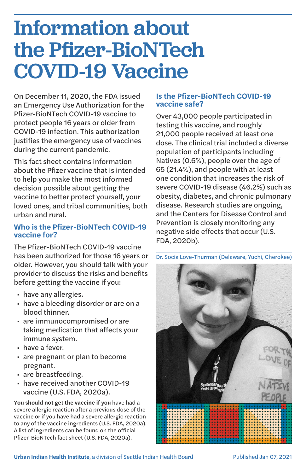# Information about the Pfizer-BioNTech COVID-19 Vaccine

On December 11, 2020, the FDA issued an Emergency Use Authorization for the Pfizer-BioNTech COVID-19 vaccine to protect people 16 years or older from COVID-19 infection. This authorization justifies the emergency use of vaccines during the current pandemic.

This fact sheet contains information about the Pfizer vaccine that is intended to help you make the most informed decision possible about getting the vaccine to better protect yourself, your loved ones, and tribal communities, both urban and rural.

# **Who is the Pfizer-BioNTech COVID-19 vaccine for?**

The Pfizer-BioNTech COVID-19 vaccine has been authorized for those 16 years or older. However, you should talk with your provider to discuss the risks and benefits before getting the vaccine if you:

- have any allergies.
- have a bleeding disorder or are on a blood thinner.
- are immunocompromised or are taking medication that affects your immune system.
- have a fever.
- are pregnant or plan to become pregnant.
- are breastfeeding.
- have received another COVID-19 vaccine (U.S. FDA, 2020a).

**You should not get the vaccine if you** have had a severe allergic reaction after a previous dose of the vaccine or if you have had a severe allergic reaction to any of the vaccine ingredients (U.S. FDA, 2020a). A list of ingredients can be found on the official Pfizer-BioNTech fact sheet (U.S. FDA, 2020a).

# **Is the Pfizer-BioNTech COVID-19 vaccine safe?**

Over 43,000 people participated in testing this vaccine, and roughly 21,000 people received at least one dose. The clinical trial included a diverse population of participants including Natives (0.6%), people over the age of 65 (21.4%), and people with at least one condition that increases the risk of severe COVID-19 disease (46.2%) such as obesity, diabetes, and chronic pulmonary disease. Research studies are ongoing, and the Centers for Disease Control and Prevention is closely monitoring any negative side effects that occur (U.S. FDA, 2020b).